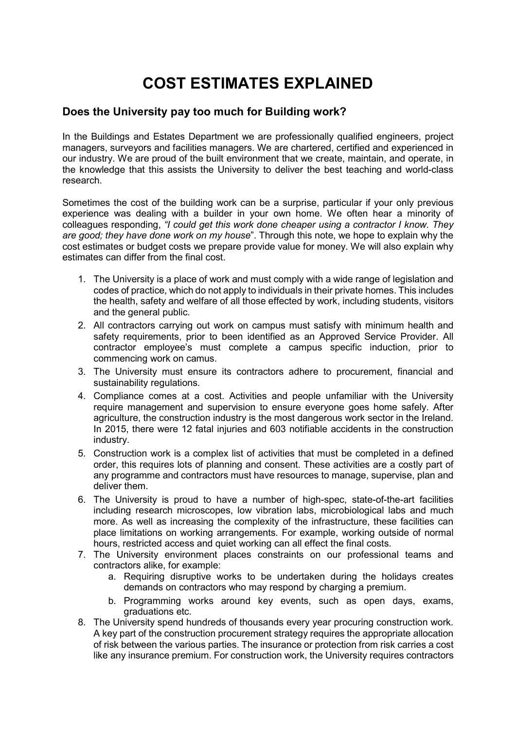## COST ESTIMATES EXPLAINED

## Does the University pay too much for Building work?

In the Buildings and Estates Department we are professionally qualified engineers, project managers, surveyors and facilities managers. We are chartered, certified and experienced in our industry. We are proud of the built environment that we create, maintain, and operate, in the knowledge that this assists the University to deliver the best teaching and world-class research.

Sometimes the cost of the building work can be a surprise, particular if your only previous experience was dealing with a builder in your own home. We often hear a minority of colleagues responding, "I could get this work done cheaper using a contractor I know. They are good; they have done work on my house". Through this note, we hope to explain why the cost estimates or budget costs we prepare provide value for money. We will also explain why estimates can differ from the final cost.

- 1. The University is a place of work and must comply with a wide range of legislation and codes of practice, which do not apply to individuals in their private homes. This includes the health, safety and welfare of all those effected by work, including students, visitors and the general public.
- 2. All contractors carrying out work on campus must satisfy with minimum health and safety requirements, prior to been identified as an Approved Service Provider. All contractor employee's must complete a campus specific induction, prior to commencing work on camus.
- 3. The University must ensure its contractors adhere to procurement, financial and sustainability regulations.
- 4. Compliance comes at a cost. Activities and people unfamiliar with the University require management and supervision to ensure everyone goes home safely. After agriculture, the construction industry is the most dangerous work sector in the Ireland. In 2015, there were 12 fatal injuries and 603 notifiable accidents in the construction industry.
- 5. Construction work is a complex list of activities that must be completed in a defined order, this requires lots of planning and consent. These activities are a costly part of any programme and contractors must have resources to manage, supervise, plan and deliver them.
- 6. The University is proud to have a number of high-spec, state-of-the-art facilities including research microscopes, low vibration labs, microbiological labs and much more. As well as increasing the complexity of the infrastructure, these facilities can place limitations on working arrangements. For example, working outside of normal hours, restricted access and quiet working can all effect the final costs.
- 7. The University environment places constraints on our professional teams and contractors alike, for example:
	- a. Requiring disruptive works to be undertaken during the holidays creates demands on contractors who may respond by charging a premium.
	- b. Programming works around key events, such as open days, exams, graduations etc.
- 8. The University spend hundreds of thousands every year procuring construction work. A key part of the construction procurement strategy requires the appropriate allocation of risk between the various parties. The insurance or protection from risk carries a cost like any insurance premium. For construction work, the University requires contractors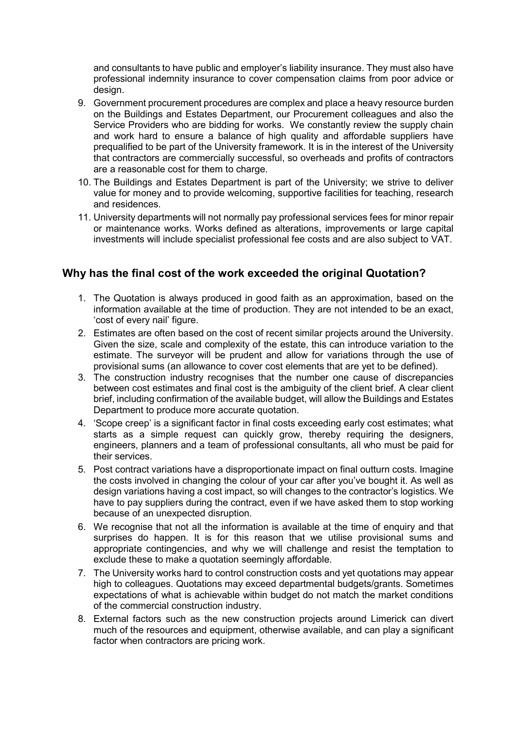and consultants to have public and employer's liability insurance. They must also have professional indemnity insurance to cover compensation claims from poor advice or design.

- 9. Government procurement procedures are complex and place a heavy resource burden on the Buildings and Estates Department, our Procurement colleagues and also the Service Providers who are bidding for works. We constantly review the supply chain and work hard to ensure a balance of high quality and affordable suppliers have prequalified to be part of the University framework. It is in the interest of the University that contractors are commercially successful, so overheads and profits of contractors are a reasonable cost for them to charge.
- 10. The Buildings and Estates Department is part of the University; we strive to deliver value for money and to provide welcoming, supportive facilities for teaching, research and residences.
- 11. University departments will not normally pay professional services fees for minor repair or maintenance works. Works defined as alterations, improvements or large capital investments will include specialist professional fee costs and are also subject to VAT.

## Why has the final cost of the work exceeded the original Quotation?

- 1. The Quotation is always produced in good faith as an approximation, based on the information available at the time of production. They are not intended to be an exact, 'cost of every nail' figure.
- 2. Estimates are often based on the cost of recent similar projects around the University. Given the size, scale and complexity of the estate, this can introduce variation to the estimate. The surveyor will be prudent and allow for variations through the use of provisional sums (an allowance to cover cost elements that are yet to be defined).
- 3. The construction industry recognises that the number one cause of discrepancies between cost estimates and final cost is the ambiguity of the client brief. A clear client brief, including confirmation of the available budget, will allow the Buildings and Estates Department to produce more accurate quotation.
- 4. 'Scope creep' is a significant factor in final costs exceeding early cost estimates; what starts as a simple request can quickly grow, thereby requiring the designers, engineers, planners and a team of professional consultants, all who must be paid for their services.
- 5. Post contract variations have a disproportionate impact on final outturn costs. Imagine the costs involved in changing the colour of your car after you've bought it. As well as design variations having a cost impact, so will changes to the contractor's logistics. We have to pay suppliers during the contract, even if we have asked them to stop working because of an unexpected disruption.
- 6. We recognise that not all the information is available at the time of enquiry and that surprises do happen. It is for this reason that we utilise provisional sums and appropriate contingencies, and why we will challenge and resist the temptation to exclude these to make a quotation seemingly affordable.
- 7. The University works hard to control construction costs and yet quotations may appear high to colleagues. Quotations may exceed departmental budgets/grants. Sometimes expectations of what is achievable within budget do not match the market conditions of the commercial construction industry.
- 8. External factors such as the new construction projects around Limerick can divert much of the resources and equipment, otherwise available, and can play a significant factor when contractors are pricing work.